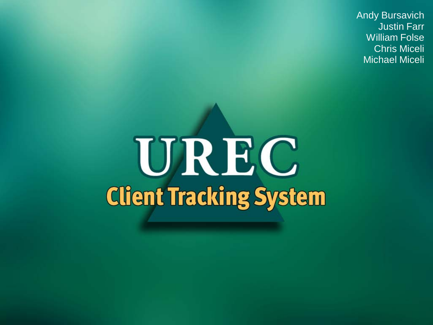Andy Bursavich Justin Farr William Folse Chris Miceli Michael Miceli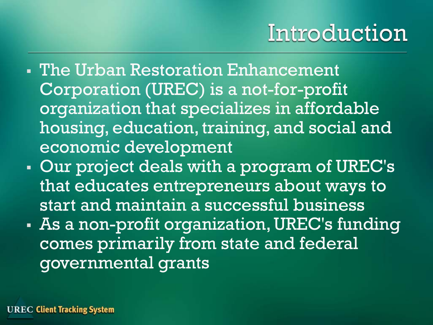### Introduction

- The Urban Restoration Enhancement Corporation (UREC) is a not-for-profit organization that specializes in affordable housing, education, training, and social and economic development
- Our project deals with a program of UREC's that educates entrepreneurs about ways to start and maintain a successful business
- As a non-profit organization, UREC's funding comes primarily from state and federal governmental grants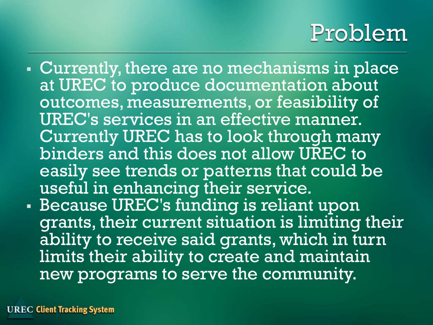### Problem

 Currently, there are no mechanisms in place at UREC to produce documentation about outcomes, measurements, or feasibility of UREC's services in an effective manner. Currently UREC has to look through many binders and this does not allow UREC to easily see trends or patterns that could be useful in enhancing their service. Because UREC's funding is reliant upon grants, their current situation is limiting their ability to receive said grants, which in turn limits their ability to create and maintain new programs to serve the community.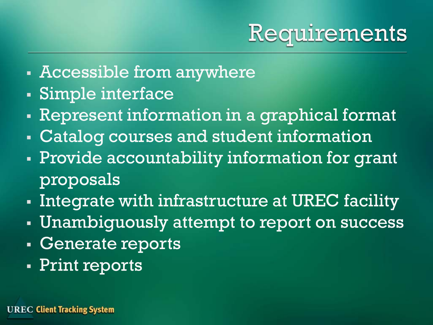

- Accessible from anywhere
- Simple interface
- Represent information in a graphical format
- Catalog courses and student information
- Provide accountability information for grant proposals
- Integrate with infrastructure at UREC facility
- Unambiguously attempt to report on success
- Generate reports
- Print reports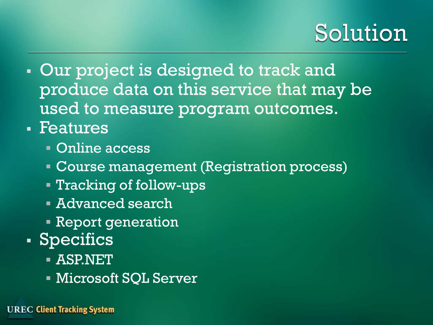### Solution

- **Our project is designed to track and** produce data on this service that may be used to measure program outcomes.
- Features
	- Online access
	- **Course management (Registration process)**
	- Tracking of follow-ups
	- Advanced search
	- **Report generation**
- Specifics
	- ASP.NET
	- Microsoft SQL Server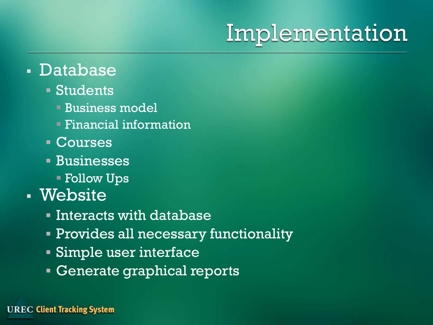# Implementation

#### Database

#### Students

- Business model
- Financial information
- Courses
- Businesses
	- Follow Ups

#### Website

- Interacts with database
- Provides all necessary functionality
- Simple user interface
- **Generate graphical reports**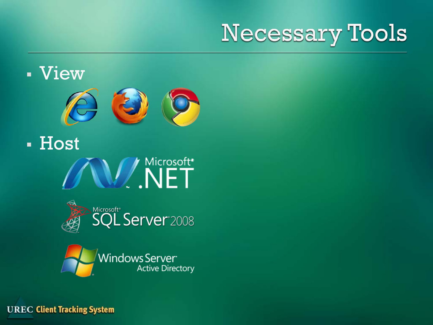# **Necessary Tools**

#### View



**- Host** W. NET



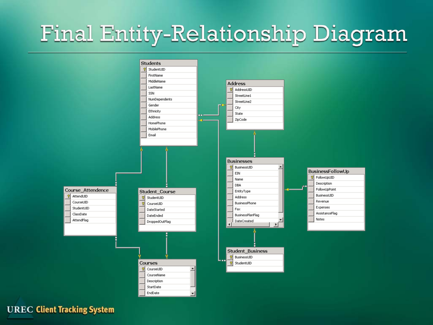# **Final Entity-Relationship Diagram**

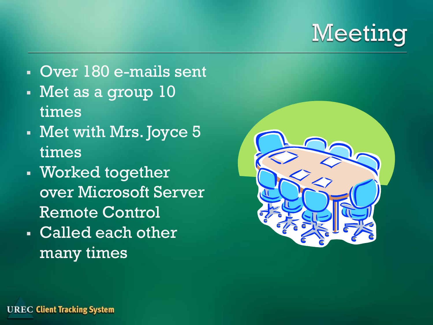

- Over 180 e-mails sent
- Met as a group 10 times
- Met with Mrs. Joyce 5 times
- Worked together over Microsoft Server Remote Control
- Called each other many times

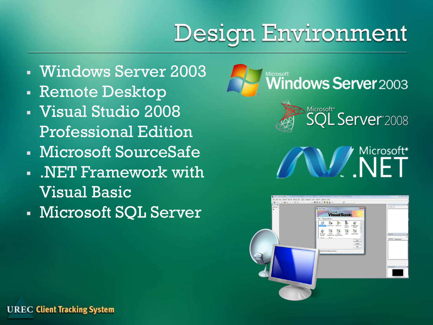# Design Environment

- Windows Server 2003
- Remote Desktop
- Visual Studio 2008 Professional Edition
- Microsoft SourceSafe
- .NET Framework with Visual Basic
- Microsoft SQL Server





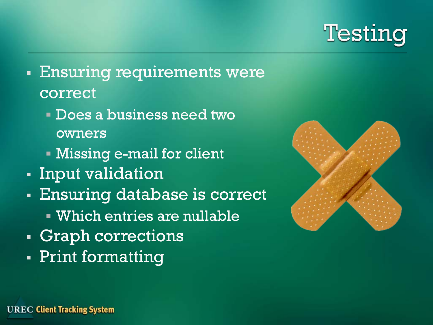

- Ensuring requirements were correct
	- Does a business need two owners
	- Missing e-mail for client
- Input validation
- Ensuring database is correct
	- Which entries are nullable
- **Graph corrections**
- Print formatting

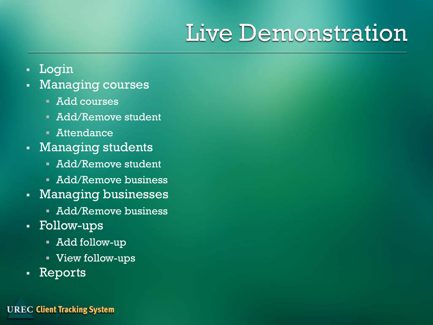# Live Demonstration

- Login
- Managing courses
	- Add courses
	- **Add/Remove student**
	- Attendance
- **Managing students** 
	- **Add/Remove student**
	- **Add/Remove business**
- Managing businesses
	- **Add/Remove business**
- Follow-ups
	- Add follow-up
	- View follow-ups
- Reports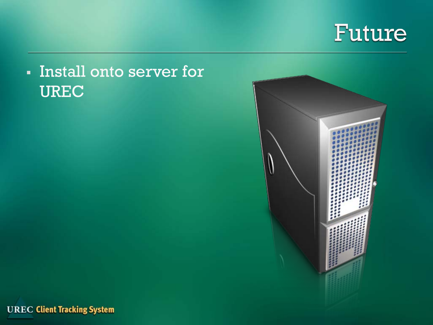

#### Install onto server for UREC